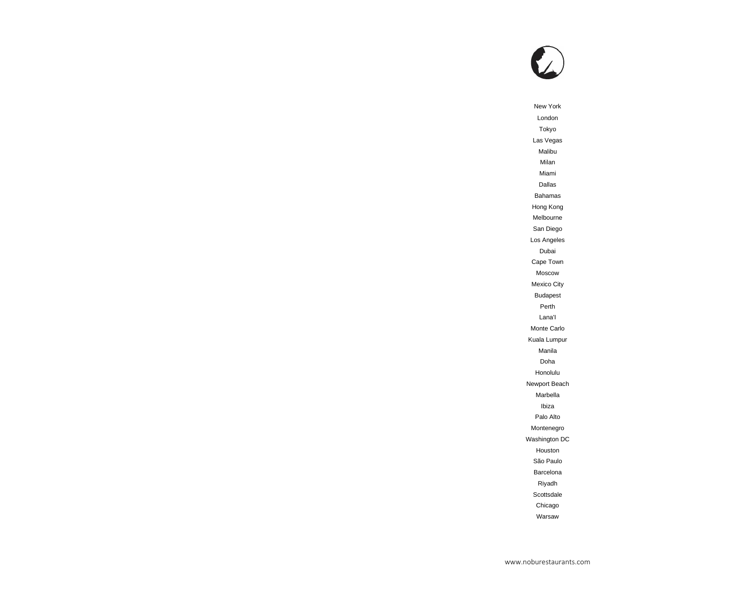

New York London Tokyo Las Vegas Malibu Milan Miami Dallas Bahamas Hong Kong Melbourne San Diego Los Angeles Dubai Cape Town Moscow Mexico City Budapest Perth Lana'I Monte Carlo Kuala Lumpur Manila Doha Honolulu Newport Beach Marbella Ibiza Palo Alto Montenegro Washington DC Houston São Paulo Barcelona Riyadh **Scottsdale** Chicago Warsaw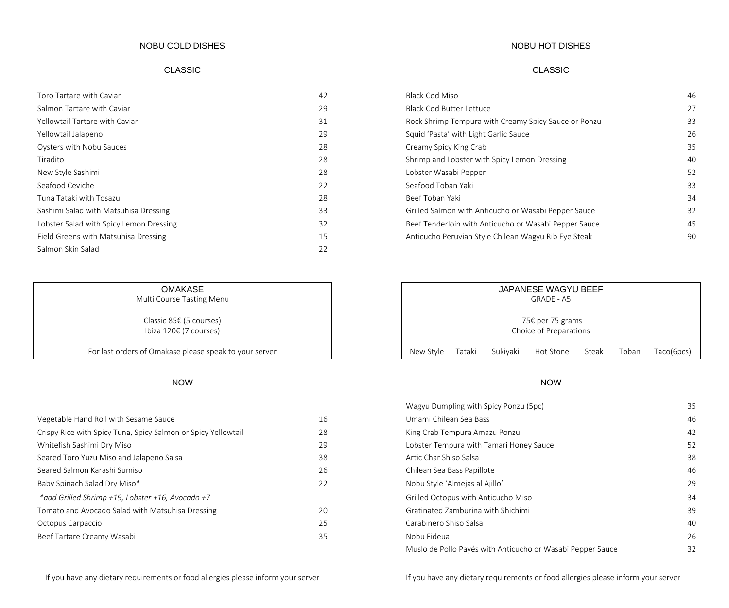### NOBU COLD DISHES

### CLASSIC CLASSIC

| Toro Tartare with Caviar                | 42 |
|-----------------------------------------|----|
| Salmon Tartare with Caviar              | 29 |
| Yellowtail Tartare with Caviar          | 31 |
| Yellowtail Jalapeno                     | 29 |
| Oysters with Nobu Sauces                | 28 |
| Tiradito                                | 28 |
| New Style Sashimi                       | 28 |
| Seafood Ceviche                         | 22 |
| Tuna Tataki with Tosazu                 | 28 |
| Sashimi Salad with Matsuhisa Dressing   | 33 |
| Lobster Salad with Spicy Lemon Dressing | 32 |
| Field Greens with Matsuhisa Dressing    | 15 |
| Salmon Skin Salad                       | 22 |

## **OMAKASE**

Multi Course Tasting Menu

Classic 85€ (5 courses) Ibiza 120€ (7 courses)

For last orders of Omakase please speak to your server

| Vegetable Hand Roll with Sesame Sauce                         | 16 |
|---------------------------------------------------------------|----|
| Crispy Rice with Spicy Tuna, Spicy Salmon or Spicy Yellowtail | 28 |
| Whitefish Sashimi Dry Miso                                    | 29 |
| Seared Toro Yuzu Miso and Jalapeno Salsa                      | 38 |
| Seared Salmon Karashi Sumiso                                  | 26 |
| Baby Spinach Salad Dry Miso*                                  | 22 |
| *add Grilled Shrimp +19, Lobster +16, Avocado +7              |    |
| Tomato and Avocado Salad with Matsuhisa Dressing              | 20 |
| Octopus Carpaccio                                             | 25 |
| Beef Tartare Creamy Wasabi                                    | 35 |

### NOBU HOT DISHES

| Toro Tartare with Caviar                | 42 | <b>Black Cod Miso</b>                                 | 46 |
|-----------------------------------------|----|-------------------------------------------------------|----|
| Salmon Tartare with Caviar              | 29 | <b>Black Cod Butter Lettuce</b>                       | 27 |
| Yellowtail Tartare with Caviar          | 31 | Rock Shrimp Tempura with Creamy Spicy Sauce or Ponzu  | 33 |
| Yellowtail Jalapeno                     | 29 | Squid 'Pasta' with Light Garlic Sauce                 | 26 |
| Oysters with Nobu Sauces                | 28 | Creamy Spicy King Crab                                | 35 |
| Tiradito                                | 28 | Shrimp and Lobster with Spicy Lemon Dressing          | 40 |
| New Style Sashimi                       | 28 | Lobster Wasabi Pepper                                 | 52 |
| Seafood Ceviche                         | 22 | Seafood Toban Yaki                                    | 33 |
| Tuna Tataki with Tosazu                 | 28 | Beef Toban Yaki                                       | 34 |
| Sashimi Salad with Matsuhisa Dressing   | 33 | Grilled Salmon with Anticucho or Wasabi Pepper Sauce  | 32 |
| Lobster Salad with Spicy Lemon Dressing | 32 | Beef Tenderloin with Anticucho or Wasabi Pepper Sauce | 45 |
| Field Greens with Matsuhisa Dressing    | 15 | Anticucho Peruvian Style Chilean Wagyu Rib Eye Steak  | 90 |
|                                         |    |                                                       |    |

| JAPANESE WAGYU BEEF<br><b>GRADE - A5</b>   |        |          |           |       |       |            |
|--------------------------------------------|--------|----------|-----------|-------|-------|------------|
| 75€ per 75 grams<br>Choice of Preparations |        |          |           |       |       |            |
| New Style                                  | Tataki | Sukiyaki | Hot Stone | Steak | Toban | Taco(6pcs) |

### NOW NOW

|                                                               |    | Wagyu Dumpling with Spicy Ponzu (5pc)                      | 35 |
|---------------------------------------------------------------|----|------------------------------------------------------------|----|
| Vegetable Hand Roll with Sesame Sauce                         | 16 | Umami Chilean Sea Bass                                     | 46 |
| Crispy Rice with Spicy Tuna, Spicy Salmon or Spicy Yellowtail | 28 | King Crab Tempura Amazu Ponzu                              | 42 |
| Whitefish Sashimi Dry Miso                                    | 29 | Lobster Tempura with Tamari Honey Sauce                    | 52 |
| Seared Toro Yuzu Miso and Jalapeno Salsa                      | 38 | Artic Char Shiso Salsa                                     | 38 |
| Seared Salmon Karashi Sumiso                                  | 26 | Chilean Sea Bass Papillote                                 | 46 |
| Baby Spinach Salad Dry Miso*                                  | 22 | Nobu Style 'Almejas al Ajillo'                             | 29 |
| *add Grilled Shrimp +19, Lobster +16, Avocado +7              |    | Grilled Octopus with Anticucho Miso                        | 34 |
| Tomato and Avocado Salad with Matsuhisa Dressing              | 20 | Gratinated Zamburina with Shichimi                         | 39 |
| Octopus Carpaccio                                             | 25 | Carabinero Shiso Salsa                                     | 40 |
| Beef Tartare Creamy Wasabi                                    | 35 | Nobu Fideua                                                | 26 |
|                                                               |    | Muslo de Pollo Payés with Anticucho or Wasabi Pepper Sauce | 32 |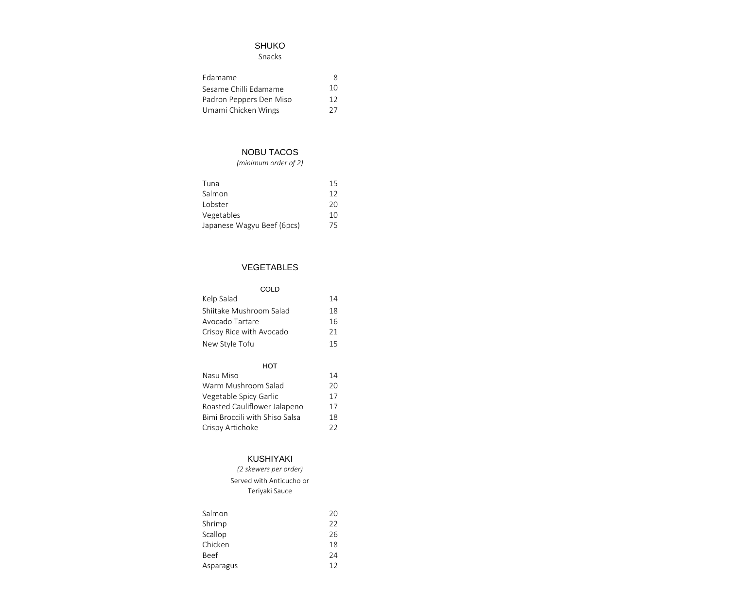# SHUKO

Snacks

| Edamame                 | Χ  |
|-------------------------|----|
| Sesame Chilli Edamame   | 10 |
| Padron Peppers Den Miso | 12 |
| Umami Chicken Wings     | 27 |

# NOBU TACOS

| (minimum order of 2)       |    |
|----------------------------|----|
| Tuna                       | 15 |
| Salmon                     | 12 |
| I obster                   | 20 |
| Vegetables                 | 10 |
| Japanese Wagyu Beef (6pcs) | /5 |

## VEGETABLES

| COL D                    |    |
|--------------------------|----|
| Kelp Salad               | 14 |
| Shiitake Mushroom Salad  | 18 |
| Avocado Tartare          | 16 |
| Crispy Rice with Avocado | 21 |
| New Style Tofu           | 15 |

| нот                            |    |
|--------------------------------|----|
| Nasu Miso                      | 14 |
| Warm Mushroom Salad            | 20 |
| Vegetable Spicy Garlic         | 17 |
| Roasted Cauliflower Jalapeno   | 17 |
| Bimi Broccili with Shiso Salsa | 18 |
| Crispy Artichoke               | フフ |

## KUSHIYAKI

| Salmon      | 20 |
|-------------|----|
| Shrimp      | 22 |
| Scallop     | 26 |
| Chicken     | 18 |
| <b>Beef</b> | 24 |
| Asparagus   | 12 |